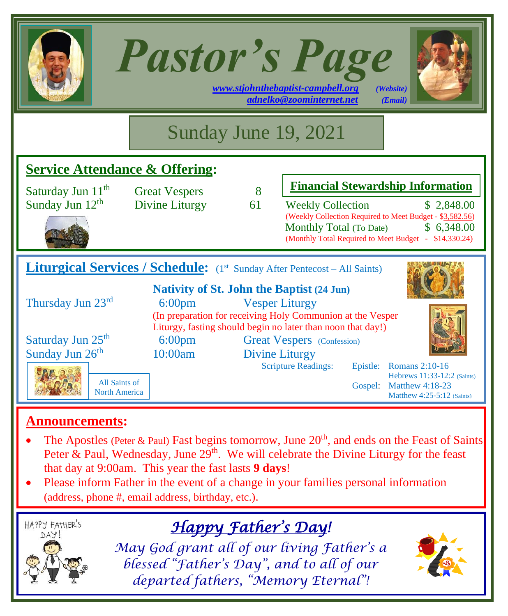| <b>Pastor's Page</b><br>www.stjohnthebaptist-campbell.org<br>(Website)<br>adnelko@zoominternet.net<br>(Email)                                                                                                                                     |                                        |         |                                                                                                                                                                                                                                                  |  |  |
|---------------------------------------------------------------------------------------------------------------------------------------------------------------------------------------------------------------------------------------------------|----------------------------------------|---------|--------------------------------------------------------------------------------------------------------------------------------------------------------------------------------------------------------------------------------------------------|--|--|
|                                                                                                                                                                                                                                                   |                                        |         | Sunday June 19, 2021                                                                                                                                                                                                                             |  |  |
| <b>Service Attendance &amp; Offering:</b>                                                                                                                                                                                                         |                                        |         |                                                                                                                                                                                                                                                  |  |  |
| Saturday Jun 11 <sup>th</sup><br>Sunday Jun 12 <sup>th</sup>                                                                                                                                                                                      | <b>Great Vespers</b><br>Divine Liturgy | 8<br>61 | <b>Financial Stewardship Information</b><br><b>Weekly Collection</b><br>\$2,848.00<br>(Weekly Collection Required to Meet Budget - \$3,582.56)<br>\$6,348.00<br>Monthly Total (To Date)<br>(Monthly Total Required to Meet Budget - \$14,330.24) |  |  |
| <b>Liturgical Services / Schedule:</b> (1st Sunday After Pentecost – All Saints)                                                                                                                                                                  |                                        |         |                                                                                                                                                                                                                                                  |  |  |
| <b>Nativity of St. John the Baptist (24 Jun)</b><br>Thursday Jun 23rd<br>6:00 <sub>pm</sub><br><b>Vesper Liturgy</b><br>(In preparation for receiving Holy Communion at the Vesper<br>Liturgy, fasting should begin no later than noon that day!) |                                        |         |                                                                                                                                                                                                                                                  |  |  |
| Saturday Jun 25 <sup>th</sup><br>Sunday Jun 26 <sup>th</sup><br>All Saints of<br><b>North America</b>                                                                                                                                             | $6:00 \text{pm}$<br>10:00am            |         | <b>Great Vespers</b> (Confession)<br><b>Divine Liturgy</b><br><b>Scripture Readings:</b><br>Epistle: Romans 2:10-16<br>Hebrews 11:33-12:2 (Saints)<br>Gospel:<br><b>Matthew 4:18-23</b><br>Matthew 4:25-5:12 (Saints)                            |  |  |

#### **Announcements:**

- The Apostles (Peter & Paul) Fast begins tomorrow, June  $20<sup>th</sup>$ , and ends on the Feast of Saints Peter & Paul, Wednesday, June  $29<sup>th</sup>$ . We will celebrate the Divine Liturgy for the feast that day at 9:00am. This year the fast lasts **9 days**!
- Please inform Father in the event of a change in your families personal information (address, phone #, email address, birthday, etc.).



*Happy Father's Day!* 

*May God grant all of our living Father's a blessed "Father's Day", and to all of our departed fathers, "Memory Eternal"!*

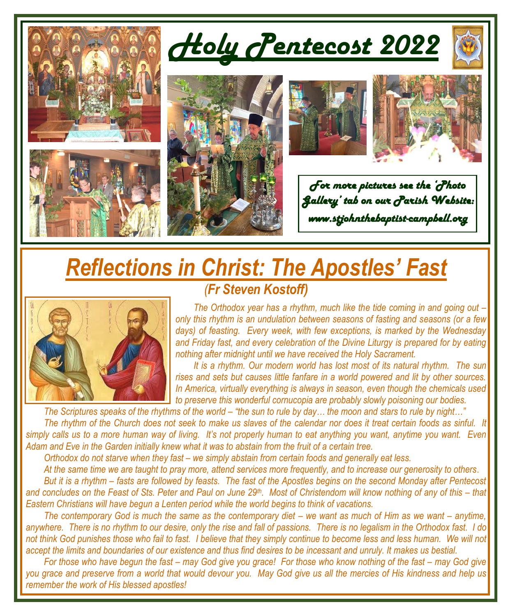

## *Reflections in Christ: The Apostles' Fast (Fr Steven Kostoff)*



*The Orthodox year has a rhythm, much like the tide coming in and going out – only this rhythm is an undulation between seasons of fasting and seasons (or a few days) of feasting. Every week, with few exceptions, is marked by the Wednesday and Friday fast, and every celebration of the Divine Liturgy is prepared for by eating nothing after midnight until we have received the Holy Sacrament.*

*It is a rhythm. Our modern world has lost most of its natural rhythm. The sun rises and sets but causes little fanfare in a world powered and lit by other sources. In America, virtually everything is always in season, even though the chemicals used to preserve this wonderful cornucopia are probably slowly poisoning our bodies.*

*The Scriptures speaks of the rhythms of the world – "the sun to rule by day… the moon and stars to rule by night…" The rhythm of the Church does not seek to make us slaves of the calendar nor does it treat certain foods as sinful. It simply calls us to a more human way of living. It's not properly human to eat anything you want, anytime you want. Even Adam and Eve in the Garden initially knew what it was to abstain from the fruit of a certain tree.*

*Orthodox do not starve when they fast – we simply abstain from certain foods and generally eat less.* 

*At the same time we are taught to pray more, attend services more frequently, and to increase our generosity to others. But it is a rhythm – fasts are followed by feasts. The fast of the Apostles begins on the second Monday after Pentecost and concludes on the Feast of Sts. Peter and Paul on June 29th . Most of Christendom will know nothing of any of this – that Eastern Christians will have begun a Lenten period while the world begins to think of vacations.*

*The contemporary God is much the same as the contemporary diet – we want as much of Him as we want – anytime, anywhere. There is no rhythm to our desire, only the rise and fall of passions. There is no legalism in the Orthodox fast. I do not think God punishes those who fail to fast. I believe that they simply continue to become less and less human. We will not accept the limits and boundaries of our existence and thus find desires to be incessant and unruly. It makes us bestial.*

*For those who have begun the fast – may God give you grace! For those who know nothing of the fast – may God give you grace and preserve from a world that would devour you. May God give us all the mercies of His kindness and help us remember the work of His blessed apostles!*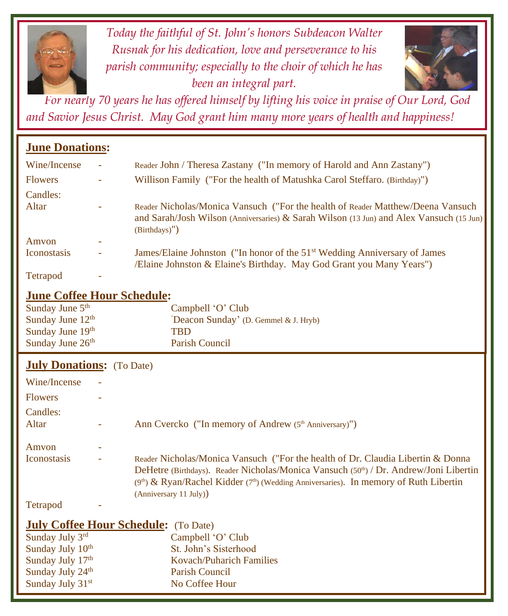

*Today the faithful of St. John's honors Subdeacon Walter Rusnak for his dedication, love and perseverance to his parish community; especially to the choir of which he has been an integral part.*



*For nearly 70 years he has offered himself by lifting his voice in praise of Our Lord, God and Savior Jesus Christ. May God grant him many more years of health and happiness!*

#### **June Donations:**

| Wine/Incense        | ٠ | Reader John / Theresa Zastany ("In memory of Harold and Ann Zastany")                                                                                                                          |
|---------------------|---|------------------------------------------------------------------------------------------------------------------------------------------------------------------------------------------------|
| <b>Flowers</b>      | ÷ | Willison Family ("For the health of Matushka Carol Steffaro. (Birthday)")                                                                                                                      |
| Candles:            |   |                                                                                                                                                                                                |
| Altar               | ٠ | Reader Nicholas/Monica Vansuch ("For the health of Reader Matthew/Deena Vansuch<br>and Sarah/Josh Wilson (Anniversaries) & Sarah Wilson (13 Jun) and Alex Vansuch (15 Jun)<br>$(Birthdays)$ ") |
| Amvon               | ۰ |                                                                                                                                                                                                |
| <b>I</b> conostasis | ٠ | James/Elaine Johnston ("In honor of the 51 <sup>st</sup> Wedding Anniversary of James<br>/Elaine Johnston & Elaine's Birthday. May God Grant you Many Years")                                  |
| Tetrapod            | ٠ |                                                                                                                                                                                                |

#### **June Coffee Hour Schedule:**

| Sunday June $5th$            | Campbell 'O' Club                    |
|------------------------------|--------------------------------------|
| Sunday June $12th$           | Deacon Sunday' (D. Gemmel & J. Hryb) |
| Sunday June 19th             | <b>TRD</b>                           |
| Sunday June 26 <sup>th</sup> | Parish Council                       |

#### **July Donations:** (To Date)

Sunday July 24<sup>th</sup>

| Wine/Incense                 |                                                                                                                                                                                                                                                                                                |
|------------------------------|------------------------------------------------------------------------------------------------------------------------------------------------------------------------------------------------------------------------------------------------------------------------------------------------|
| <b>Flowers</b>               |                                                                                                                                                                                                                                                                                                |
| Candles:<br>Altar            | Ann Cvercko ("In memory of Andrew (5 <sup>th</sup> Anniversary)")                                                                                                                                                                                                                              |
| Amvon                        |                                                                                                                                                                                                                                                                                                |
| <b>I</b> conostasis          | Reader Nicholas/Monica Vansuch ("For the health of Dr. Claudia Libertin & Donna<br>DeHetre (Birthdays). Reader Nicholas/Monica Vansuch (50th) / Dr. Andrew/Joni Libertin<br>$(9th)$ & Ryan/Rachel Kidder $(7th)$ (Wedding Anniversaries). In memory of Ruth Libertin<br>(Anniversary 11 July)) |
| Tetrapod                     |                                                                                                                                                                                                                                                                                                |
|                              | <b>July Coffee Hour Schedule:</b> (To Date)                                                                                                                                                                                                                                                    |
| Sunday July 3rd              | Campbell 'O' Club                                                                                                                                                                                                                                                                              |
| Sunday July 10 <sup>th</sup> | St. John's Sisterhood                                                                                                                                                                                                                                                                          |
| Sunday July 17th             | <b>Kovach/Puharich Families</b>                                                                                                                                                                                                                                                                |

Parish Council

Sunday July 31<sup>st</sup> No Coffee Hour